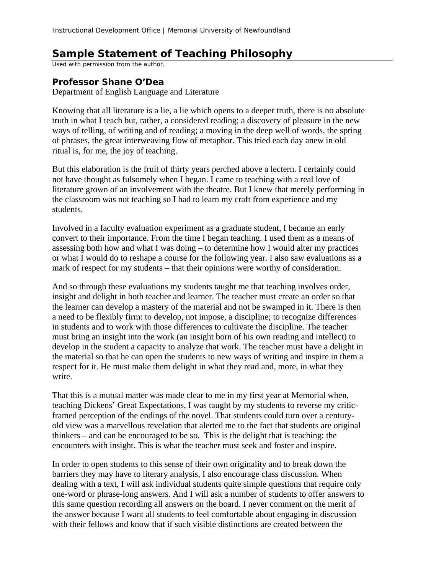## **Sample Statement of Teaching Philosophy**

Used with permission from the author.

## **Professor Shane O'Dea**

Department of English Language and Literature

Knowing that all literature is a lie, a lie which opens to a deeper truth, there is no absolute truth in what I teach but, rather, a considered reading; a discovery of pleasure in the new ways of telling, of writing and of reading; a moving in the deep well of words, the spring of phrases, the great interweaving flow of metaphor. This tried each day anew in old ritual is, for me, the joy of teaching.

But this elaboration is the fruit of thirty years perched above a lectern. I certainly could not have thought as fulsomely when I began. I came to teaching with a real love of literature grown of an involvement with the theatre. But I knew that merely performing in the classroom was not teaching so I had to learn my craft from experience and my students.

Involved in a faculty evaluation experiment as a graduate student, I became an early convert to their importance. From the time I began teaching. I used them as a means of assessing both how and what I was doing – to determine how I would alter my practices or what I would do to reshape a course for the following year. I also saw evaluations as a mark of respect for my students – that their opinions were worthy of consideration.

And so through these evaluations my students taught me that teaching involves order, insight and delight in both teacher and learner. The teacher must create an order so that the learner can develop a mastery of the material and not be swamped in it. There is then a need to be flexibly firm: to develop, not impose, a discipline; to recognize differences in students and to work with those differences to cultivate the discipline. The teacher must bring an insight into the work (an insight born of his own reading and intellect) to develop in the student a capacity to analyze that work. The teacher must have a delight in the material so that he can open the students to new ways of writing and inspire in them a respect for it. He must make them delight in what they read and, more, in what they write.

That this is a mutual matter was made clear to me in my first year at Memorial when, teaching Dickens' Great Expectations, I was taught by my students to reverse my criticframed perception of the endings of the novel. That students could turn over a centuryold view was a marvellous revelation that alerted me to the fact that students are original thinkers – and can be encouraged to be so. This is the delight that is teaching: the encounters with insight. This is what the teacher must seek and foster and inspire.

In order to open students to this sense of their own originality and to break down the barriers they may have to literary analysis, I also encourage class discussion. When dealing with a text, I will ask individual students quite simple questions that require only one-word or phrase-long answers. And I will ask a number of students to offer answers to this same question recording all answers on the board. I never comment on the merit of the answer because I want all students to feel comfortable about engaging in discussion with their fellows and know that if such visible distinctions are created between the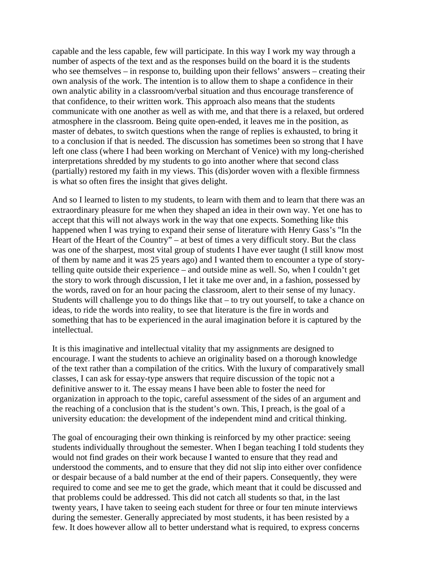capable and the less capable, few will participate. In this way I work my way through a number of aspects of the text and as the responses build on the board it is the students who see themselves – in response to, building upon their fellows' answers – creating their own analysis of the work. The intention is to allow them to shape a confidence in their own analytic ability in a classroom/verbal situation and thus encourage transference of that confidence, to their written work. This approach also means that the students communicate with one another as well as with me, and that there is a relaxed, but ordered atmosphere in the classroom. Being quite open-ended, it leaves me in the position, as master of debates, to switch questions when the range of replies is exhausted, to bring it to a conclusion if that is needed. The discussion has sometimes been so strong that I have left one class (where I had been working on Merchant of Venice) with my long-cherished interpretations shredded by my students to go into another where that second class (partially) restored my faith in my views. This (dis)order woven with a flexible firmness is what so often fires the insight that gives delight.

And so I learned to listen to my students, to learn with them and to learn that there was an extraordinary pleasure for me when they shaped an idea in their own way. Yet one has to accept that this will not always work in the way that one expects. Something like this happened when I was trying to expand their sense of literature with Henry Gass's "In the Heart of the Heart of the Country" – at best of times a very difficult story. But the class was one of the sharpest, most vital group of students I have ever taught (I still know most of them by name and it was 25 years ago) and I wanted them to encounter a type of storytelling quite outside their experience – and outside mine as well. So, when I couldn't get the story to work through discussion, I let it take me over and, in a fashion, possessed by the words, raved on for an hour pacing the classroom, alert to their sense of my lunacy. Students will challenge you to do things like that – to try out yourself, to take a chance on ideas, to ride the words into reality, to see that literature is the fire in words and something that has to be experienced in the aural imagination before it is captured by the intellectual.

It is this imaginative and intellectual vitality that my assignments are designed to encourage. I want the students to achieve an originality based on a thorough knowledge of the text rather than a compilation of the critics. With the luxury of comparatively small classes, I can ask for essay-type answers that require discussion of the topic not a definitive answer to it. The essay means I have been able to foster the need for organization in approach to the topic, careful assessment of the sides of an argument and the reaching of a conclusion that is the student's own. This, I preach, is the goal of a university education: the development of the independent mind and critical thinking.

The goal of encouraging their own thinking is reinforced by my other practice: seeing students individually throughout the semester. When I began teaching I told students they would not find grades on their work because I wanted to ensure that they read and understood the comments, and to ensure that they did not slip into either over confidence or despair because of a bald number at the end of their papers. Consequently, they were required to come and see me to get the grade, which meant that it could be discussed and that problems could be addressed. This did not catch all students so that, in the last twenty years, I have taken to seeing each student for three or four ten minute interviews during the semester. Generally appreciated by most students, it has been resisted by a few. It does however allow all to better understand what is required, to express concerns